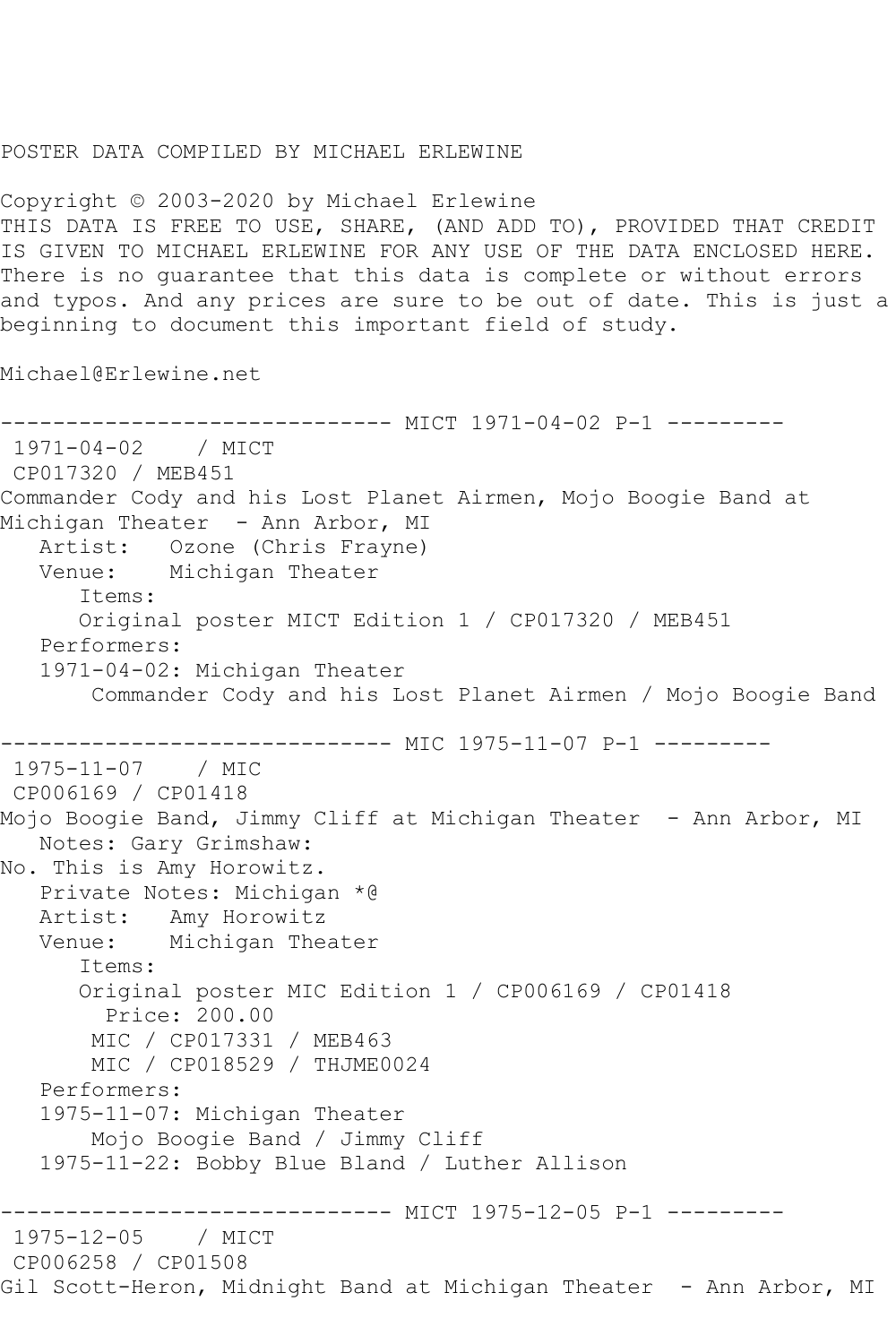## POSTER DATA COMPILED BY MICHAEL ERLEWINE

Copyright © 2003-2020 by Michael Erlewine THIS DATA IS FREE TO USE, SHARE, (AND ADD TO), PROVIDED THAT CREDIT IS GIVEN TO MICHAEL ERLEWINE FOR ANY USE OF THE DATA ENCLOSED HERE. There is no guarantee that this data is complete or without errors and typos. And any prices are sure to be out of date. This is just a beginning to document this important field of study.

Michael@Erlewine.net

------------------------------ MICT 1971-04-02 P-1 --------- 1971-04-02 / MICT CP017320 / MEB451 Commander Cody and his Lost Planet Airmen, Mojo Boogie Band at Michigan Theater - Ann Arbor, MI Artist: Ozone (Chris Frayne) Venue: Michigan Theater Items: Original poster MICT Edition 1 / CP017320 / MEB451 Performers: 1971-04-02: Michigan Theater Commander Cody and his Lost Planet Airmen / Mojo Boogie Band ---------------- MIC 1975-11-07 P-1 ----------<br>/ MIC  $1975 - 11 - 07$ CP006169 / CP01418 Mojo Boogie Band, Jimmy Cliff at Michigan Theater - Ann Arbor, MI Notes: Gary Grimshaw: No. This is Amy Horowitz. Private Notes: Michigan \*@ Artist: Amy Horowitz Venue: Michigan Theater Items: Original poster MIC Edition 1 / CP006169 / CP01418 Price: 200.00 MIC / CP017331 / MEB463 MIC / CP018529 / THJME0024 Performers: 1975-11-07: Michigan Theater Mojo Boogie Band / Jimmy Cliff 1975-11-22: Bobby Blue Bland / Luther Allison ------------------------------ MICT 1975-12-05 P-1 ---------  $1975 - 12 - 05$ CP006258 / CP01508 Gil Scott-Heron, Midnight Band at Michigan Theater - Ann Arbor, MI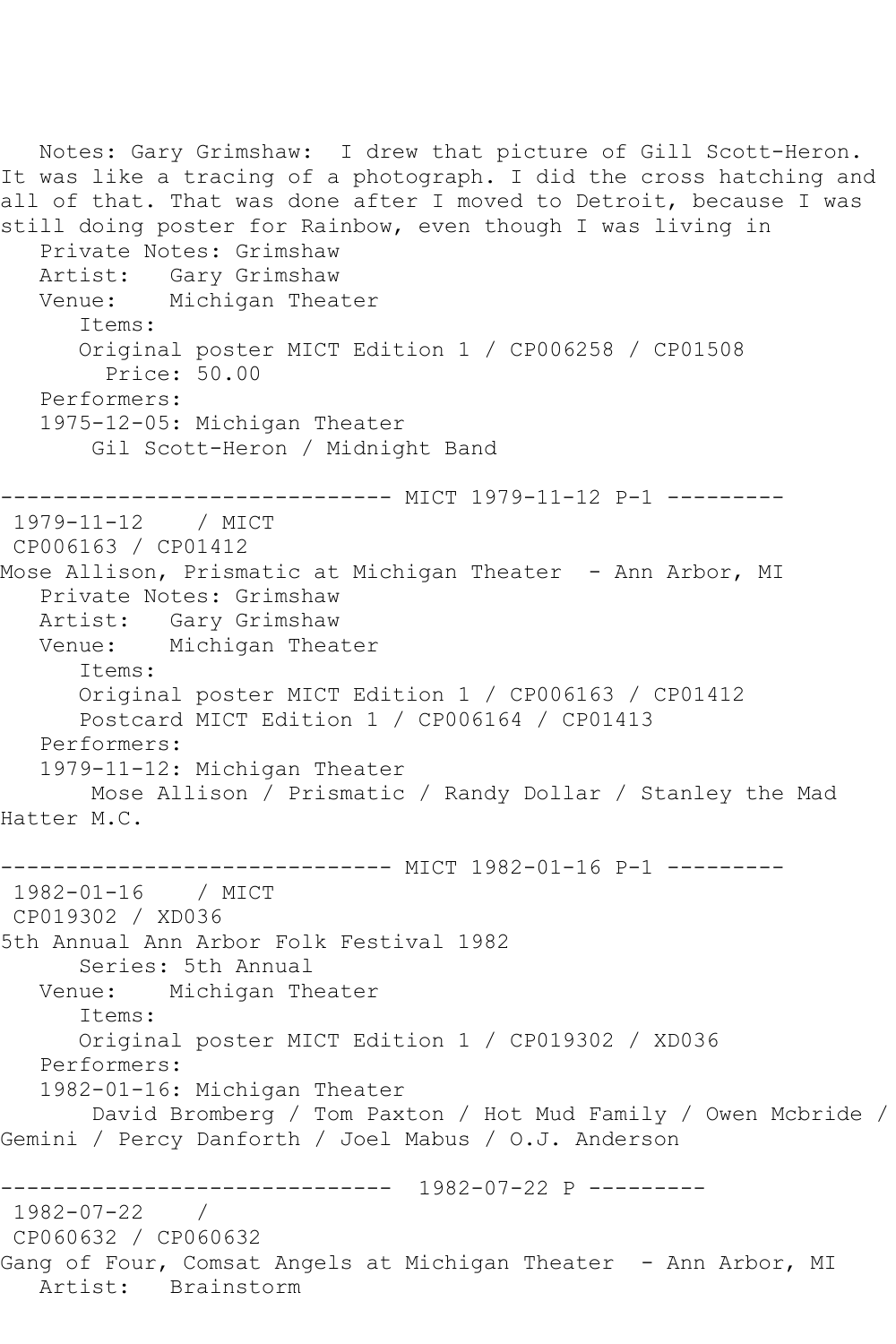Notes: Gary Grimshaw: I drew that picture of Gill Scott-Heron. It was like a tracing of a photograph. I did the cross hatching and all of that. That was done after I moved to Detroit, because I was still doing poster for Rainbow, even though I was living in Private Notes: Grimshaw Artist: Gary Grimshaw Venue: Michigan Theater Items: Original poster MICT Edition 1 / CP006258 / CP01508 Price: 50.00 Performers: 1975-12-05: Michigan Theater Gil Scott-Heron / Midnight Band ------------------------------ MICT 1979-11-12 P-1 --------- 1979-11-12 / MICT CP006163 / CP01412 Mose Allison, Prismatic at Michigan Theater - Ann Arbor, MI Private Notes: Grimshaw Artist: Gary Grimshaw Venue: Michigan Theater Items: Original poster MICT Edition 1 / CP006163 / CP01412 Postcard MICT Edition 1 / CP006164 / CP01413 Performers: 1979-11-12: Michigan Theater Mose Allison / Prismatic / Randy Dollar / Stanley the Mad Hatter M.C. ------------------------------ MICT 1982-01-16 P-1 --------- 1982-01-16 / MICT CP019302 / XD036 5th Annual Ann Arbor Folk Festival 1982 Series: 5th Annual<br>Venue: Michigan Th Michigan Theater Items: Original poster MICT Edition 1 / CP019302 / XD036 Performers: 1982-01-16: Michigan Theater David Bromberg / Tom Paxton / Hot Mud Family / Owen Mcbride / Gemini / Percy Danforth / Joel Mabus / O.J. Anderson ------------------------------ 1982-07-22 P --------- 1982-07-22 / CP060632 / CP060632 Gang of Four, Comsat Angels at Michigan Theater - Ann Arbor, MI Artist: Brainstorm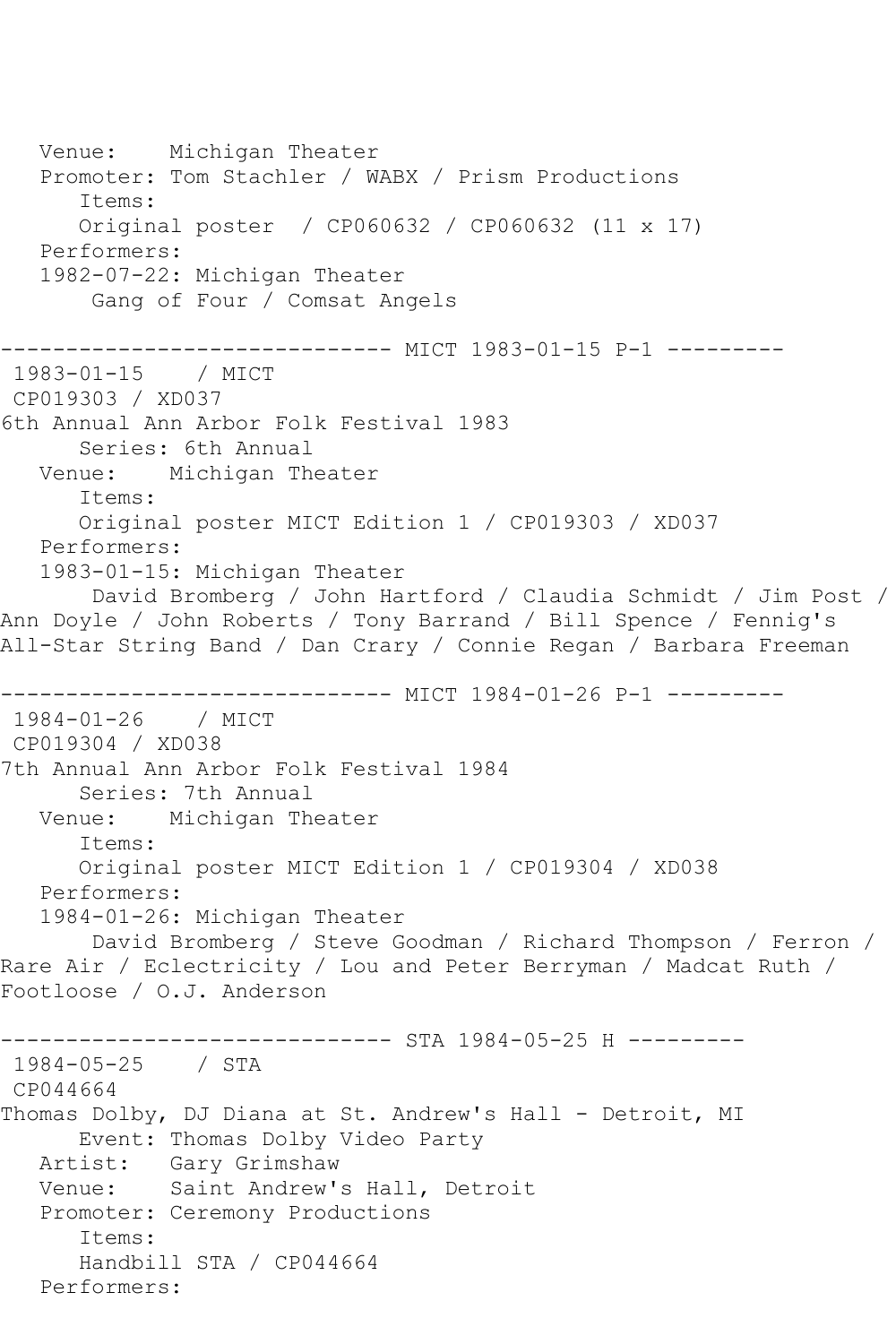Venue: Michigan Theater Promoter: Tom Stachler / WABX / Prism Productions Items: Original poster / CP060632 / CP060632 (11 x 17) Performers: 1982-07-22: Michigan Theater Gang of Four / Comsat Angels ------------------------------ MICT 1983-01-15 P-1 --------- 1983-01-15 / MICT CP019303 / XD037 6th Annual Ann Arbor Folk Festival 1983 Series: 6th Annual Venue: Michigan Theater Items: Original poster MICT Edition 1 / CP019303 / XD037 Performers: 1983-01-15: Michigan Theater David Bromberg / John Hartford / Claudia Schmidt / Jim Post / Ann Doyle / John Roberts / Tony Barrand / Bill Spence / Fennig's All-Star String Band / Dan Crary / Connie Regan / Barbara Freeman ------------------------------ MICT 1984-01-26 P-1 --------- 1984-01-26 / MICT CP019304 / XD038 7th Annual Ann Arbor Folk Festival 1984 Series: 7th Annual Venue: Michigan Theater Items: Original poster MICT Edition 1 / CP019304 / XD038 Performers: 1984-01-26: Michigan Theater David Bromberg / Steve Goodman / Richard Thompson / Ferron / Rare Air / Eclectricity / Lou and Peter Berryman / Madcat Ruth / Footloose / O.J. Anderson ------------------------------ STA 1984-05-25 H --------- 1984-05-25 / STA CP044664 Thomas Dolby, DJ Diana at St. Andrew's Hall - Detroit, MI Event: Thomas Dolby Video Party Artist: Gary Grimshaw Venue: Saint Andrew's Hall, Detroit Promoter: Ceremony Productions Items: Handbill STA / CP044664 Performers: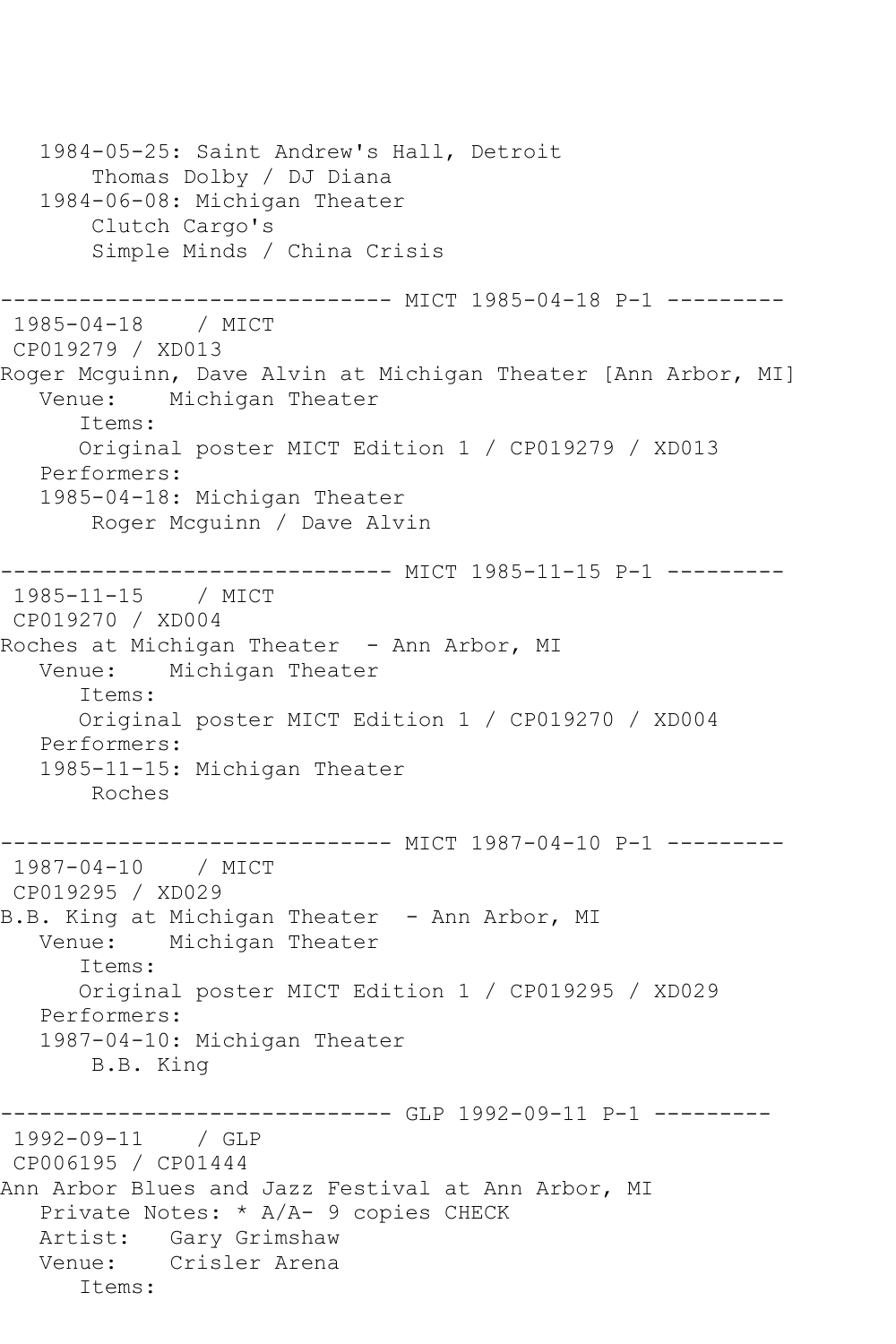1984-05-25: Saint Andrew's Hall, Detroit Thomas Dolby / DJ Diana 1984-06-08: Michigan Theater Clutch Cargo's Simple Minds / China Crisis ------------------------------ MICT 1985-04-18 P-1 --------- 1985-04-18 / MICT CP019279 / XD013 Roger Mcguinn, Dave Alvin at Michigan Theater [Ann Arbor, MI]<br>Venue: Michigan Theater Michigan Theater Items: Original poster MICT Edition 1 / CP019279 / XD013 Performers: 1985-04-18: Michigan Theater Roger Mcguinn / Dave Alvin ------------------------------ MICT 1985-11-15 P-1 --------- 1985-11-15 / MICT CP019270 / XD004 Roches at Michigan Theater - Ann Arbor, MI Venue: Michigan Theater Items: Original poster MICT Edition 1 / CP019270 / XD004 Performers: 1985-11-15: Michigan Theater Roches --------- MICT 1987-04-10 P-1 ---------1987-04-10 / MICT CP019295 / XD029 B.B. King at Michigan Theater – Ann Arbor, MI<br>Venue: Michigan Theater Michigan Theater Items: Original poster MICT Edition 1 / CP019295 / XD029 Performers: 1987-04-10: Michigan Theater B.B. King ----------------------------- GLP 1992-09-11 P-1 ---------1992-09-11 / GLP CP006195 / CP01444 Ann Arbor Blues and Jazz Festival at Ann Arbor, MI Private Notes: \* A/A- 9 copies CHECK Artist: Gary Grimshaw Venue: Crisler Arena Items: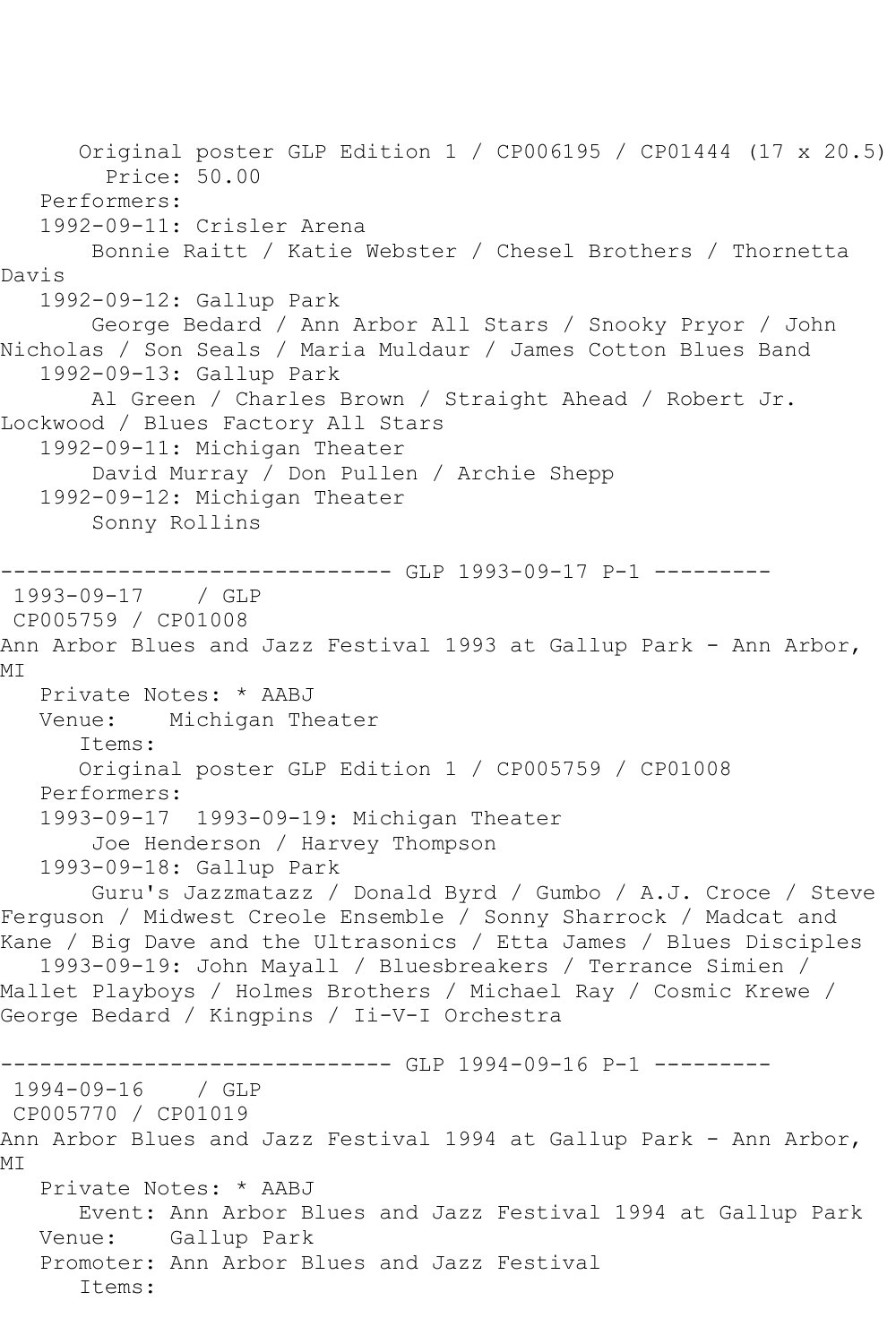Original poster GLP Edition 1 / CP006195 / CP01444 (17 x 20.5) Price: 50.00 Performers: 1992-09-11: Crisler Arena Bonnie Raitt / Katie Webster / Chesel Brothers / Thornetta Davis 1992-09-12: Gallup Park George Bedard / Ann Arbor All Stars / Snooky Pryor / John Nicholas / Son Seals / Maria Muldaur / James Cotton Blues Band 1992-09-13: Gallup Park Al Green / Charles Brown / Straight Ahead / Robert Jr. Lockwood / Blues Factory All Stars 1992-09-11: Michigan Theater David Murray / Don Pullen / Archie Shepp 1992-09-12: Michigan Theater Sonny Rollins ------------------------------ GLP 1993-09-17 P-1 --------- 1993-09-17 / GLP CP005759 / CP01008 Ann Arbor Blues and Jazz Festival 1993 at Gallup Park - Ann Arbor, MT Private Notes: \* AABJ Venue: Michigan Theater Items: Original poster GLP Edition 1 / CP005759 / CP01008 Performers: 1993-09-17 1993-09-19: Michigan Theater Joe Henderson / Harvey Thompson 1993-09-18: Gallup Park Guru's Jazzmatazz / Donald Byrd / Gumbo / A.J. Croce / Steve Ferguson / Midwest Creole Ensemble / Sonny Sharrock / Madcat and Kane / Big Dave and the Ultrasonics / Etta James / Blues Disciples 1993-09-19: John Mayall / Bluesbreakers / Terrance Simien / Mallet Playboys / Holmes Brothers / Michael Ray / Cosmic Krewe / George Bedard / Kingpins / Ii-V-I Orchestra ------------------------------ GLP 1994-09-16 P-1 --------- 1994-09-16 CP005770 / CP01019 Ann Arbor Blues and Jazz Festival 1994 at Gallup Park - Ann Arbor, MI Private Notes: \* AABJ Event: Ann Arbor Blues and Jazz Festival 1994 at Gallup Park Venue: Gallup Park Promoter: Ann Arbor Blues and Jazz Festival Items: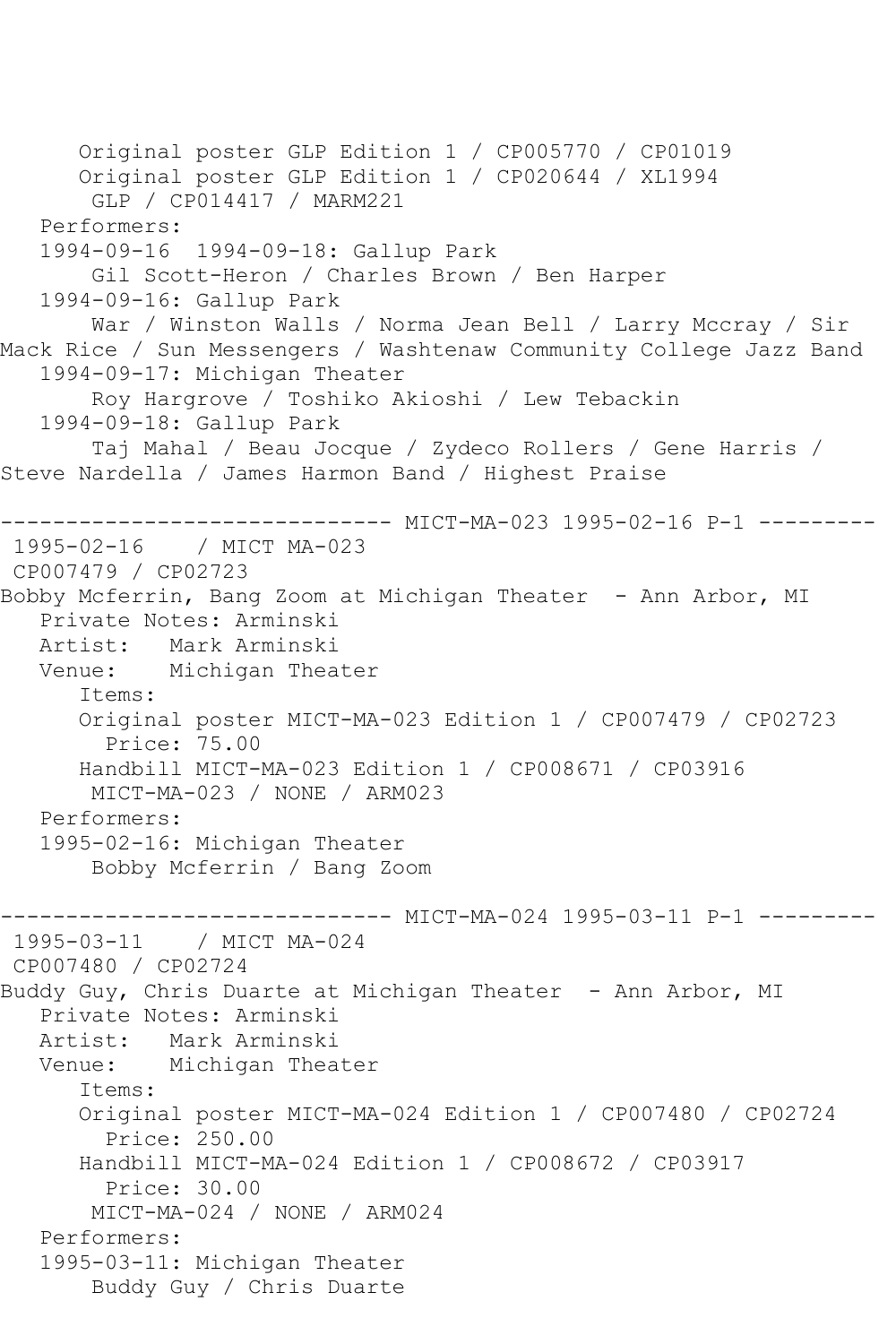Original poster GLP Edition 1 / CP005770 / CP01019 Original poster GLP Edition 1 / CP020644 / XL1994 GLP / CP014417 / MARM221 Performers: 1994-09-16 1994-09-18: Gallup Park Gil Scott-Heron / Charles Brown / Ben Harper 1994-09-16: Gallup Park War / Winston Walls / Norma Jean Bell / Larry Mccray / Sir Mack Rice / Sun Messengers / Washtenaw Community College Jazz Band 1994-09-17: Michigan Theater Roy Hargrove / Toshiko Akioshi / Lew Tebackin 1994-09-18: Gallup Park Taj Mahal / Beau Jocque / Zydeco Rollers / Gene Harris / Steve Nardella / James Harmon Band / Highest Praise ---------- MICT-MA-023 1995-02-16 P-1 ---------1995-02-16 / MICT MA-023 CP007479 / CP02723 Bobby Mcferrin, Bang Zoom at Michigan Theater - Ann Arbor, MI Private Notes: Arminski Artist: Mark Arminski Venue: Michigan Theater Items: Original poster MICT-MA-023 Edition 1 / CP007479 / CP02723 Price: 75.00 Handbill MICT-MA-023 Edition 1 / CP008671 / CP03916 MICT-MA-023 / NONE / ARM023 Performers: 1995-02-16: Michigan Theater Bobby Mcferrin / Bang Zoom -------------- MICT-MA-024 1995-03-11 P-1 ---------1995-03-11 / MICT MA-024 CP007480 / CP02724 Buddy Guy, Chris Duarte at Michigan Theater - Ann Arbor, MI Private Notes: Arminski Artist: Mark Arminski Venue: Michigan Theater Items: Original poster MICT-MA-024 Edition 1 / CP007480 / CP02724 Price: 250.00 Handbill MICT-MA-024 Edition 1 / CP008672 / CP03917 Price: 30.00 MICT-MA-024 / NONE / ARM024 Performers: 1995-03-11: Michigan Theater Buddy Guy / Chris Duarte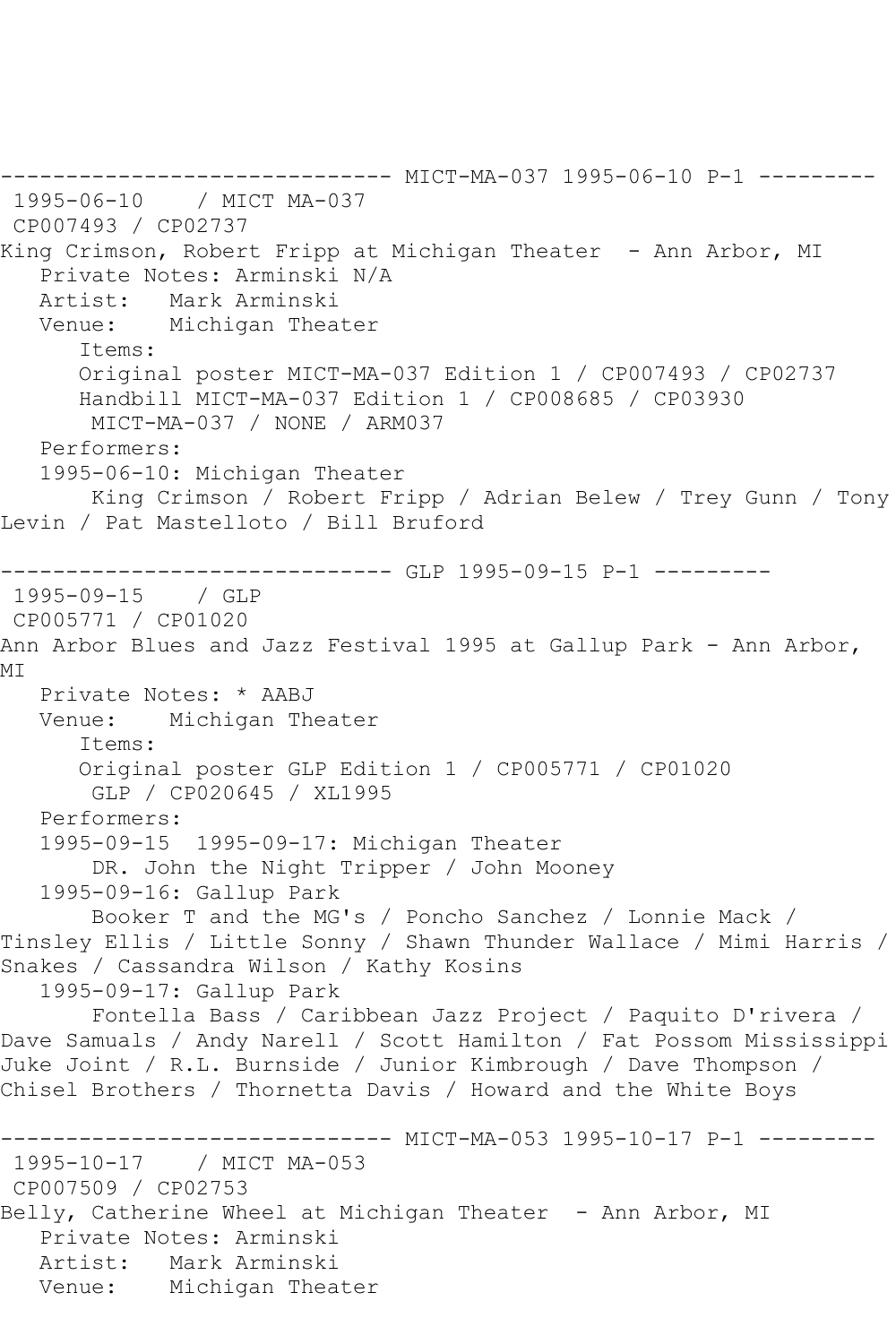```
------------------------------ MICT-MA-037 1995-06-10 P-1 ---------
1995-06-10 / MICT MA-037
CP007493 / CP02737
King Crimson, Robert Fripp at Michigan Theater - Ann Arbor, MI
   Private Notes: Arminski N/A
   Artist: Mark Arminski
   Venue: Michigan Theater
       Items:
      Original poster MICT-MA-037 Edition 1 / CP007493 / CP02737
       Handbill MICT-MA-037 Edition 1 / CP008685 / CP03930
        MICT-MA-037 / NONE / ARM037
   Performers:
   1995-06-10: Michigan Theater
       King Crimson / Robert Fripp / Adrian Belew / Trey Gunn / Tony 
Levin / Pat Mastelloto / Bill Bruford
------------------------------ GLP 1995-09-15 P-1 ---------
1995-09-15 / GLP 
CP005771 / CP01020
Ann Arbor Blues and Jazz Festival 1995 at Gallup Park - Ann Arbor,
MT
   Private Notes: * AABJ
   Venue: Michigan Theater
       Items:
      Original poster GLP Edition 1 / CP005771 / CP01020
        GLP / CP020645 / XL1995
   Performers:
   1995-09-15 1995-09-17: Michigan Theater
        DR. John the Night Tripper / John Mooney
   1995-09-16: Gallup Park
        Booker T and the MG's / Poncho Sanchez / Lonnie Mack / 
Tinsley Ellis / Little Sonny / Shawn Thunder Wallace / Mimi Harris / 
Snakes / Cassandra Wilson / Kathy Kosins
   1995-09-17: Gallup Park
        Fontella Bass / Caribbean Jazz Project / Paquito D'rivera / 
Dave Samuals / Andy Narell / Scott Hamilton / Fat Possom Mississippi 
Juke Joint / R.L. Burnside / Junior Kimbrough / Dave Thompson / 
Chisel Brothers / Thornetta Davis / Howard and the White Boys
                      --------- MICT-MA-053 1995-10-17 P-1 ---------
1995-10-17 / MICT MA-053
CP007509 / CP02753
Belly, Catherine Wheel at Michigan Theater - Ann Arbor, MI
  Private Notes: Arminski<br>Artist: Mark Arminski
           Mark Arminski
   Venue: Michigan Theater
```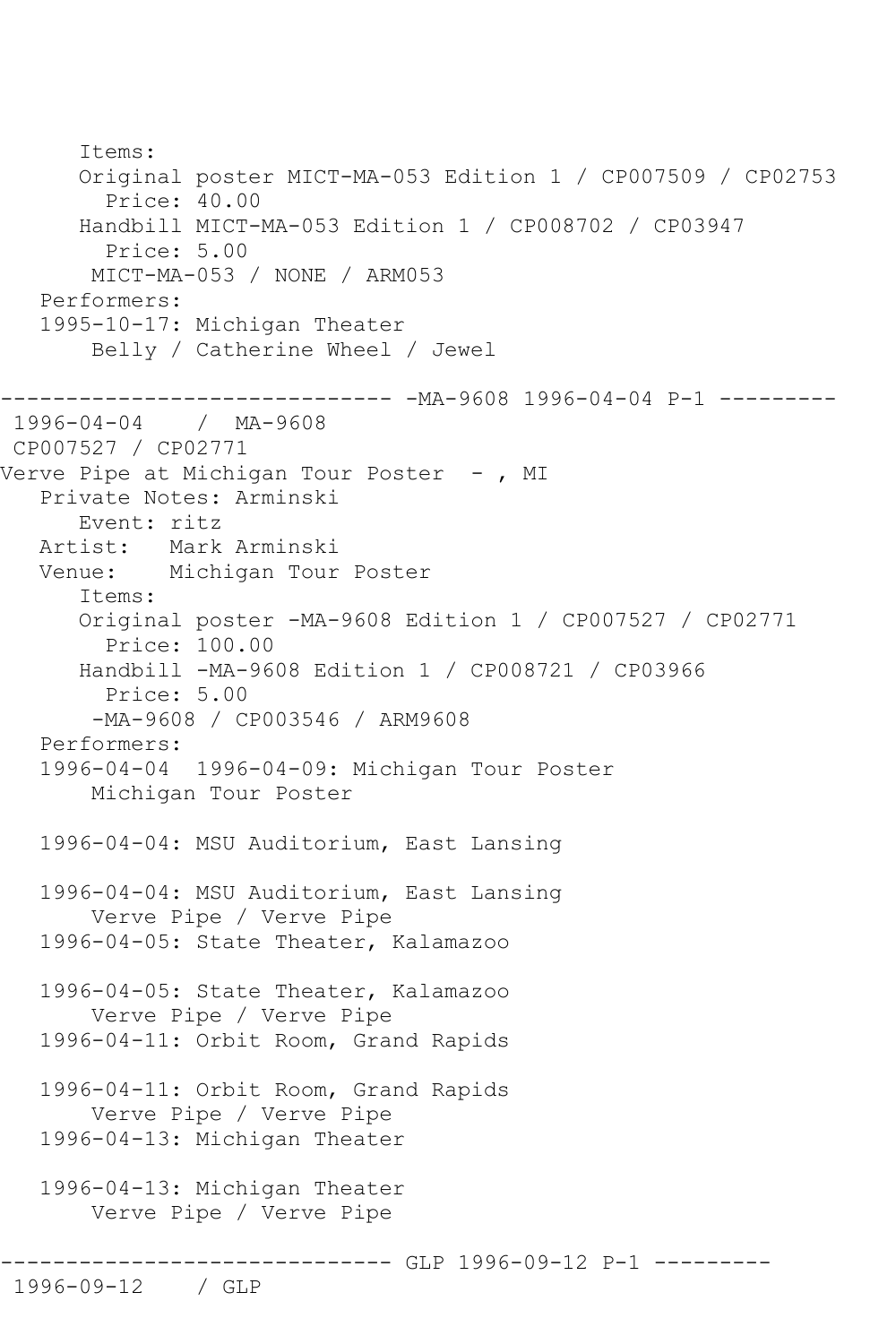Items: Original poster MICT-MA-053 Edition 1 / CP007509 / CP02753 Price: 40.00 Handbill MICT-MA-053 Edition 1 / CP008702 / CP03947 Price: 5.00 MICT-MA-053 / NONE / ARM053 Performers: 1995-10-17: Michigan Theater Belly / Catherine Wheel / Jewel ------------------------------ -MA-9608 1996-04-04 P-1 --------- 1996-04-04 / MA-9608 CP007527 / CP02771 Verve Pipe at Michigan Tour Poster -, MI Private Notes: Arminski Event: ritz Artist: Mark Arminski Venue: Michigan Tour Poster Items: Original poster -MA-9608 Edition 1 / CP007527 / CP02771 Price: 100.00 Handbill -MA-9608 Edition 1 / CP008721 / CP03966 Price: 5.00 -MA-9608 / CP003546 / ARM9608 Performers: 1996-04-04 1996-04-09: Michigan Tour Poster Michigan Tour Poster 1996-04-04: MSU Auditorium, East Lansing 1996-04-04: MSU Auditorium, East Lansing Verve Pipe / Verve Pipe 1996-04-05: State Theater, Kalamazoo 1996-04-05: State Theater, Kalamazoo Verve Pipe / Verve Pipe 1996-04-11: Orbit Room, Grand Rapids 1996-04-11: Orbit Room, Grand Rapids Verve Pipe / Verve Pipe 1996-04-13: Michigan Theater 1996-04-13: Michigan Theater Verve Pipe / Verve Pipe ------------ GLP 1996-09-12 P-1 ----------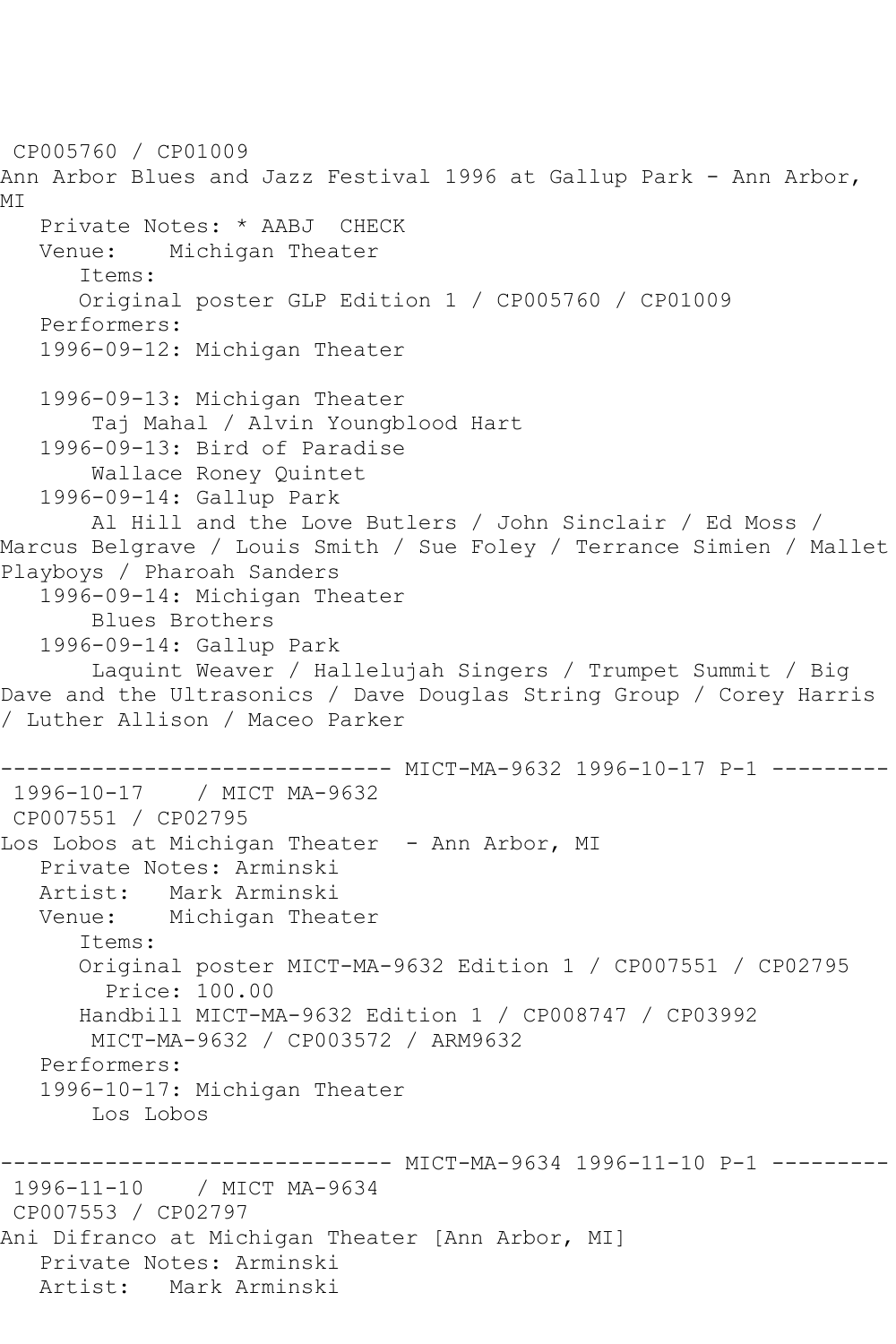CP005760 / CP01009 Ann Arbor Blues and Jazz Festival 1996 at Gallup Park - Ann Arbor, MI Private Notes: \* AABJ CHECK<br>Venue: Michigan Theater Michigan Theater Items: Original poster GLP Edition 1 / CP005760 / CP01009 Performers: 1996-09-12: Michigan Theater 1996-09-13: Michigan Theater Taj Mahal / Alvin Youngblood Hart 1996-09-13: Bird of Paradise Wallace Roney Quintet 1996-09-14: Gallup Park Al Hill and the Love Butlers / John Sinclair / Ed Moss / Marcus Belgrave / Louis Smith / Sue Foley / Terrance Simien / Mallet Playboys / Pharoah Sanders 1996-09-14: Michigan Theater Blues Brothers 1996-09-14: Gallup Park Laquint Weaver / Hallelujah Singers / Trumpet Summit / Big Dave and the Ultrasonics / Dave Douglas String Group / Corey Harris / Luther Allison / Maceo Parker ------------------------------ MICT-MA-9632 1996-10-17 P-1 --------- 1996-10-17 / MICT MA-9632 CP007551 / CP02795 Los Lobos at Michigan Theater - Ann Arbor, MI Private Notes: Arminski Artist: Mark Arminski Venue: Michigan Theater Items: Original poster MICT-MA-9632 Edition 1 / CP007551 / CP02795 Price: 100.00 Handbill MICT-MA-9632 Edition 1 / CP008747 / CP03992 MICT-MA-9632 / CP003572 / ARM9632 Performers: 1996-10-17: Michigan Theater Los Lobos ------------------------------ MICT-MA-9634 1996-11-10 P-1 --------- 1996-11-10 / MICT MA-9634 CP007553 / CP02797 Ani Difranco at Michigan Theater [Ann Arbor, MI] Private Notes: Arminski Artist: Mark Arminski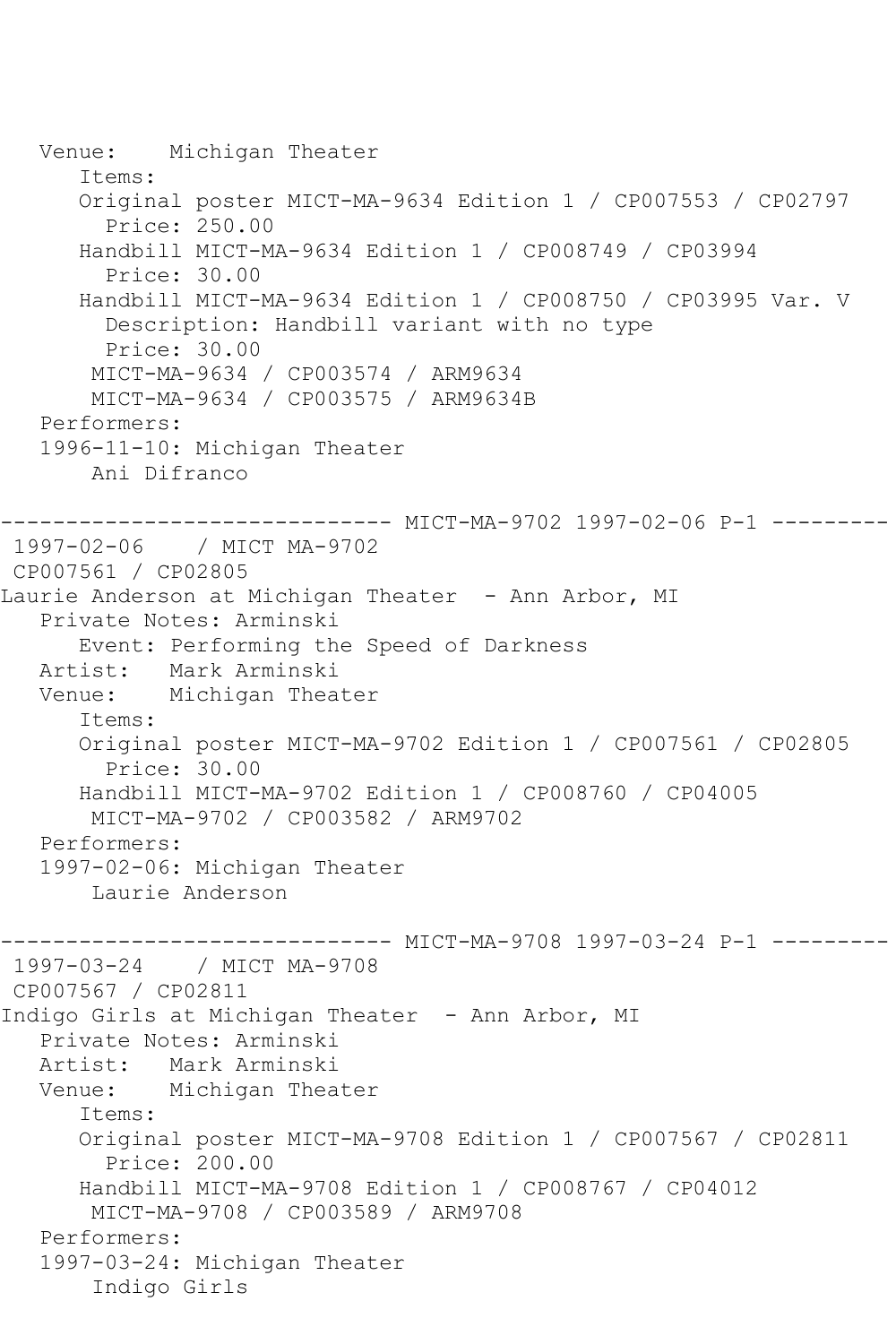```
 Venue: Michigan Theater
       Items:
       Original poster MICT-MA-9634 Edition 1 / CP007553 / CP02797
         Price: 250.00
       Handbill MICT-MA-9634 Edition 1 / CP008749 / CP03994
         Price: 30.00
       Handbill MICT-MA-9634 Edition 1 / CP008750 / CP03995 Var. V
         Description: Handbill variant with no type
         Price: 30.00
       MICT-MA-9634 / CP003574 / ARM9634
        MICT-MA-9634 / CP003575 / ARM9634B
   Performers:
   1996-11-10: Michigan Theater
        Ani Difranco
      ------------------------------ MICT-MA-9702 1997-02-06 P-1 ---------
1997-02-06 / MICT MA-9702
CP007561 / CP02805
Laurie Anderson at Michigan Theater - Ann Arbor, MI
   Private Notes: Arminski
       Event: Performing the Speed of Darkness
   Artist: Mark Arminski
   Venue: Michigan Theater
       Items:
       Original poster MICT-MA-9702 Edition 1 / CP007561 / CP02805
         Price: 30.00
       Handbill MICT-MA-9702 Edition 1 / CP008760 / CP04005
        MICT-MA-9702 / CP003582 / ARM9702
   Performers:
   1997-02-06: Michigan Theater
        Laurie Anderson
------------------------------ MICT-MA-9708 1997-03-24 P-1 ---------
1997-03-24 / MICT MA-9708
CP007567 / CP02811
Indigo Girls at Michigan Theater - Ann Arbor, MI
   Private Notes: Arminski
           Mark Arminski
   Venue: Michigan Theater
       Items:
      Original poster MICT-MA-9708 Edition 1 / CP007567 / CP02811
         Price: 200.00
       Handbill MICT-MA-9708 Edition 1 / CP008767 / CP04012
        MICT-MA-9708 / CP003589 / ARM9708
   Performers:
   1997-03-24: Michigan Theater
        Indigo Girls
```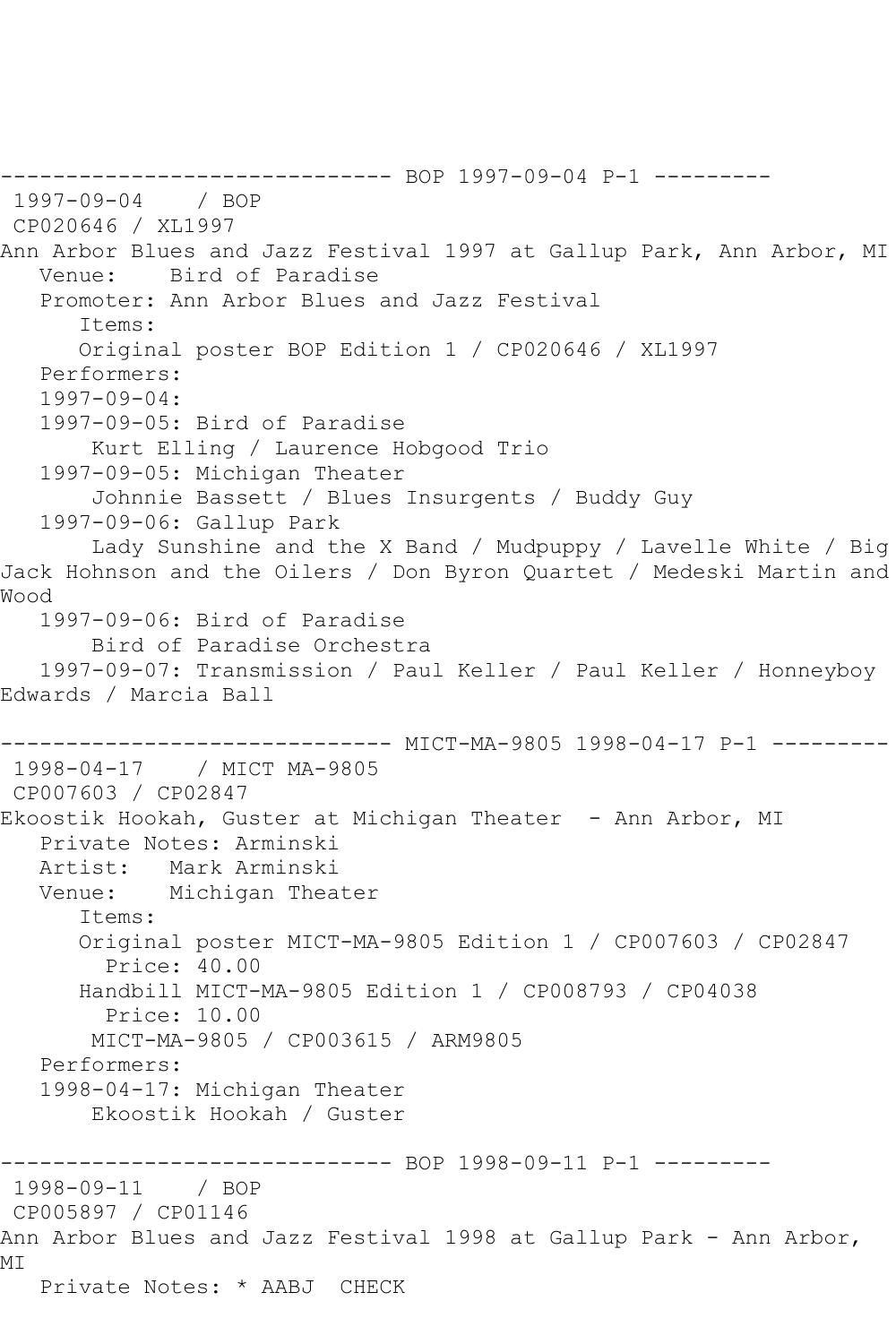------------------------------ BOP 1997-09-04 P-1 --------- 1997-09-04 / BOP CP020646 / XL1997 Ann Arbor Blues and Jazz Festival 1997 at Gallup Park, Ann Arbor, MI Venue: Bird of Paradise Promoter: Ann Arbor Blues and Jazz Festival Items: Original poster BOP Edition 1 / CP020646 / XL1997 Performers:  $1997 - 09 - 04$  1997-09-05: Bird of Paradise Kurt Elling / Laurence Hobgood Trio 1997-09-05: Michigan Theater Johnnie Bassett / Blues Insurgents / Buddy Guy 1997-09-06: Gallup Park Lady Sunshine and the X Band / Mudpuppy / Lavelle White / Big Jack Hohnson and the Oilers / Don Byron Quartet / Medeski Martin and Wood 1997-09-06: Bird of Paradise Bird of Paradise Orchestra 1997-09-07: Transmission / Paul Keller / Paul Keller / Honneyboy Edwards / Marcia Ball ------------------------------ MICT-MA-9805 1998-04-17 P-1 --------- 1998-04-17 / MICT MA-9805 CP007603 / CP02847 Ekoostik Hookah, Guster at Michigan Theater - Ann Arbor, MI Private Notes: Arminski Mark Arminski Venue: Michigan Theater Items: Original poster MICT-MA-9805 Edition 1 / CP007603 / CP02847 Price: 40.00 Handbill MICT-MA-9805 Edition 1 / CP008793 / CP04038 Price: 10.00 MICT-MA-9805 / CP003615 / ARM9805 Performers: 1998-04-17: Michigan Theater Ekoostik Hookah / Guster -------------- BOP 1998-09-11 P-1 ---------1998-09-11 / BOP CP005897 / CP01146 Ann Arbor Blues and Jazz Festival 1998 at Gallup Park - Ann Arbor, MI Private Notes: \* AABJ CHECK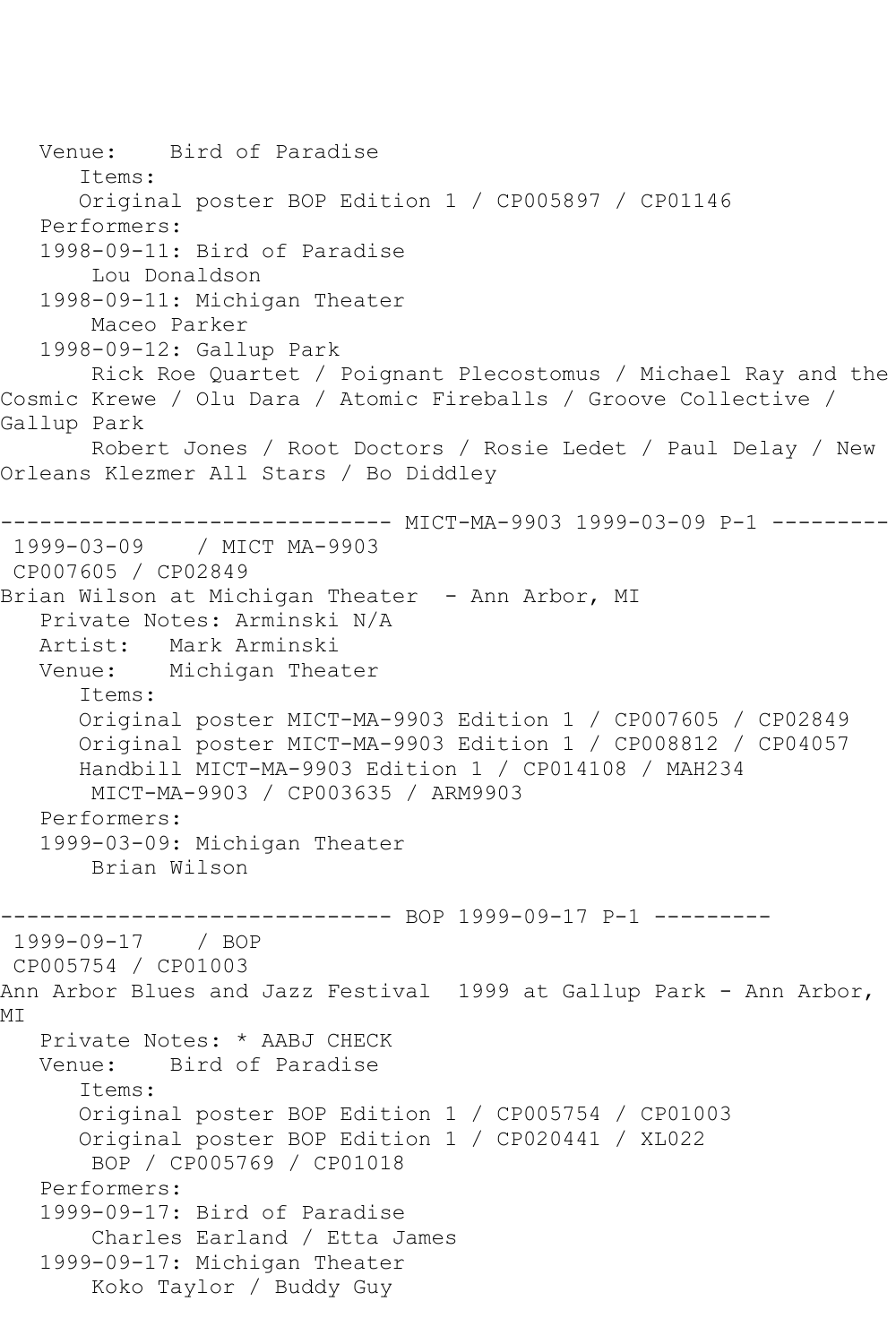Venue: Bird of Paradise Items: Original poster BOP Edition 1 / CP005897 / CP01146 Performers: 1998-09-11: Bird of Paradise Lou Donaldson 1998-09-11: Michigan Theater Maceo Parker 1998-09-12: Gallup Park Rick Roe Quartet / Poignant Plecostomus / Michael Ray and the Cosmic Krewe / Olu Dara / Atomic Fireballs / Groove Collective / Gallup Park Robert Jones / Root Doctors / Rosie Ledet / Paul Delay / New Orleans Klezmer All Stars / Bo Diddley ------------------------------ MICT-MA-9903 1999-03-09 P-1 --------- 1999-03-09 / MICT MA-9903 CP007605 / CP02849 Brian Wilson at Michigan Theater - Ann Arbor, MI Private Notes: Arminski N/A Artist: Mark Arminski Venue: Michigan Theater Items: Original poster MICT-MA-9903 Edition 1 / CP007605 / CP02849 Original poster MICT-MA-9903 Edition 1 / CP008812 / CP04057 Handbill MICT-MA-9903 Edition 1 / CP014108 / MAH234 MICT-MA-9903 / CP003635 / ARM9903 Performers: 1999-03-09: Michigan Theater Brian Wilson ------------------------------ BOP 1999-09-17 P-1 --------- 1999-09-17 / BOP CP005754 / CP01003 Ann Arbor Blues and Jazz Festival 1999 at Gallup Park - Ann Arbor, MI Private Notes: \* AABJ CHECK Venue: Bird of Paradise Items: Original poster BOP Edition 1 / CP005754 / CP01003 Original poster BOP Edition 1 / CP020441 / XL022 BOP / CP005769 / CP01018 Performers: 1999-09-17: Bird of Paradise Charles Earland / Etta James 1999-09-17: Michigan Theater Koko Taylor / Buddy Guy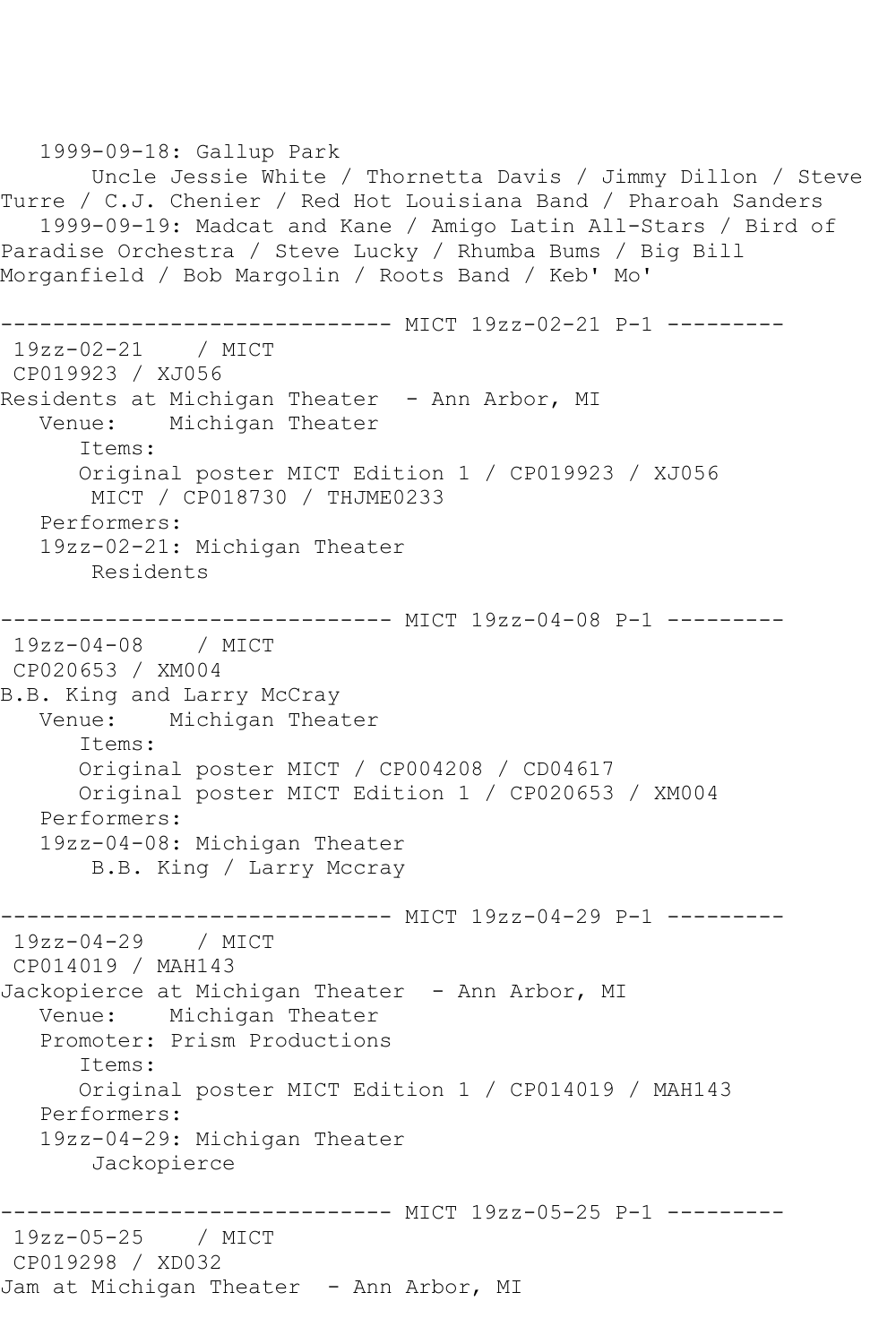1999-09-18: Gallup Park Uncle Jessie White / Thornetta Davis / Jimmy Dillon / Steve Turre / C.J. Chenier / Red Hot Louisiana Band / Pharoah Sanders 1999-09-19: Madcat and Kane / Amigo Latin All-Stars / Bird of Paradise Orchestra / Steve Lucky / Rhumba Bums / Big Bill Morganfield / Bob Margolin / Roots Band / Keb' Mo' ------------------------------ MICT 19zz-02-21 P-1 --------- 19zz-02-21 / MICT CP019923 / XJ056 Residents at Michigan Theater - Ann Arbor, MI Venue: Michigan Theater Items: Original poster MICT Edition 1 / CP019923 / XJ056 MICT / CP018730 / THJME0233 Performers: 19zz-02-21: Michigan Theater Residents ------------------------------ MICT 19zz-04-08 P-1 --------- 19zz-04-08 / MICT CP020653 / XM004 B.B. King and Larry McCray<br>Venue: Michigan Thea Michigan Theater Items: Original poster MICT / CP004208 / CD04617 Original poster MICT Edition 1 / CP020653 / XM004 Performers: 19zz-04-08: Michigan Theater B.B. King / Larry Mccray ------------------------------ MICT 19zz-04-29 P-1 --------- 19zz-04-29 / MICT CP014019 / MAH143 Jackopierce at Michigan Theater - Ann Arbor, MI Venue: Michigan Theater Promoter: Prism Productions Items: Original poster MICT Edition 1 / CP014019 / MAH143 Performers: 19zz-04-29: Michigan Theater Jackopierce ------------------------------ MICT 19zz-05-25 P-1 --------- 19zz-05-25 / MICT CP019298 / XD032 Jam at Michigan Theater - Ann Arbor, MI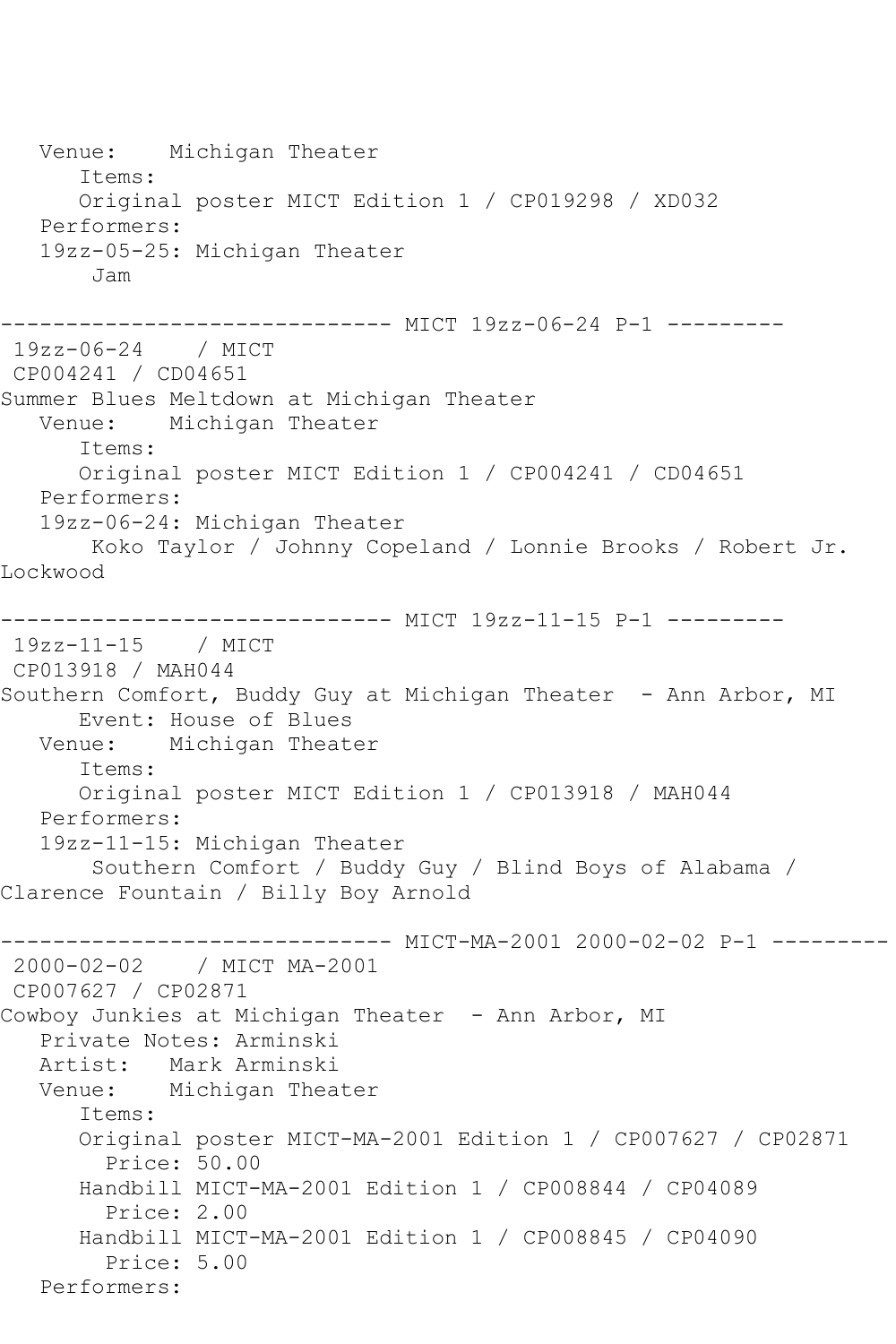Venue: Michigan Theater Items: Original poster MICT Edition 1 / CP019298 / XD032 Performers: 19zz-05-25: Michigan Theater Jam ------------------------------- MICT 19zz-06-24 P-1 ----------<br>19zz-06-24 / MICT / MICT CP004241 / CD04651 Summer Blues Meltdown at Michigan Theater Venue: Michigan Theater Items: Original poster MICT Edition 1 / CP004241 / CD04651 Performers: 19zz-06-24: Michigan Theater Koko Taylor / Johnny Copeland / Lonnie Brooks / Robert Jr. Lockwood ------------------------------ MICT 19zz-11-15 P-1 --------- 19zz-11-15 / MICT CP013918 / MAH044 Southern Comfort, Buddy Guy at Michigan Theater - Ann Arbor, MI Event: House of Blues<br>Venue: Michigan Theat Michigan Theater Items: Original poster MICT Edition 1 / CP013918 / MAH044 Performers: 19zz-11-15: Michigan Theater Southern Comfort / Buddy Guy / Blind Boys of Alabama / Clarence Fountain / Billy Boy Arnold ------------------------------ MICT-MA-2001 2000-02-02 P-1 --------- 2000-02-02 / MICT MA-2001 CP007627 / CP02871 Cowboy Junkies at Michigan Theater - Ann Arbor, MI Private Notes: Arminski Mark Arminski Venue: Michigan Theater Items: Original poster MICT-MA-2001 Edition 1 / CP007627 / CP02871 Price: 50.00 Handbill MICT-MA-2001 Edition 1 / CP008844 / CP04089 Price: 2.00 Handbill MICT-MA-2001 Edition 1 / CP008845 / CP04090 Price: 5.00 Performers: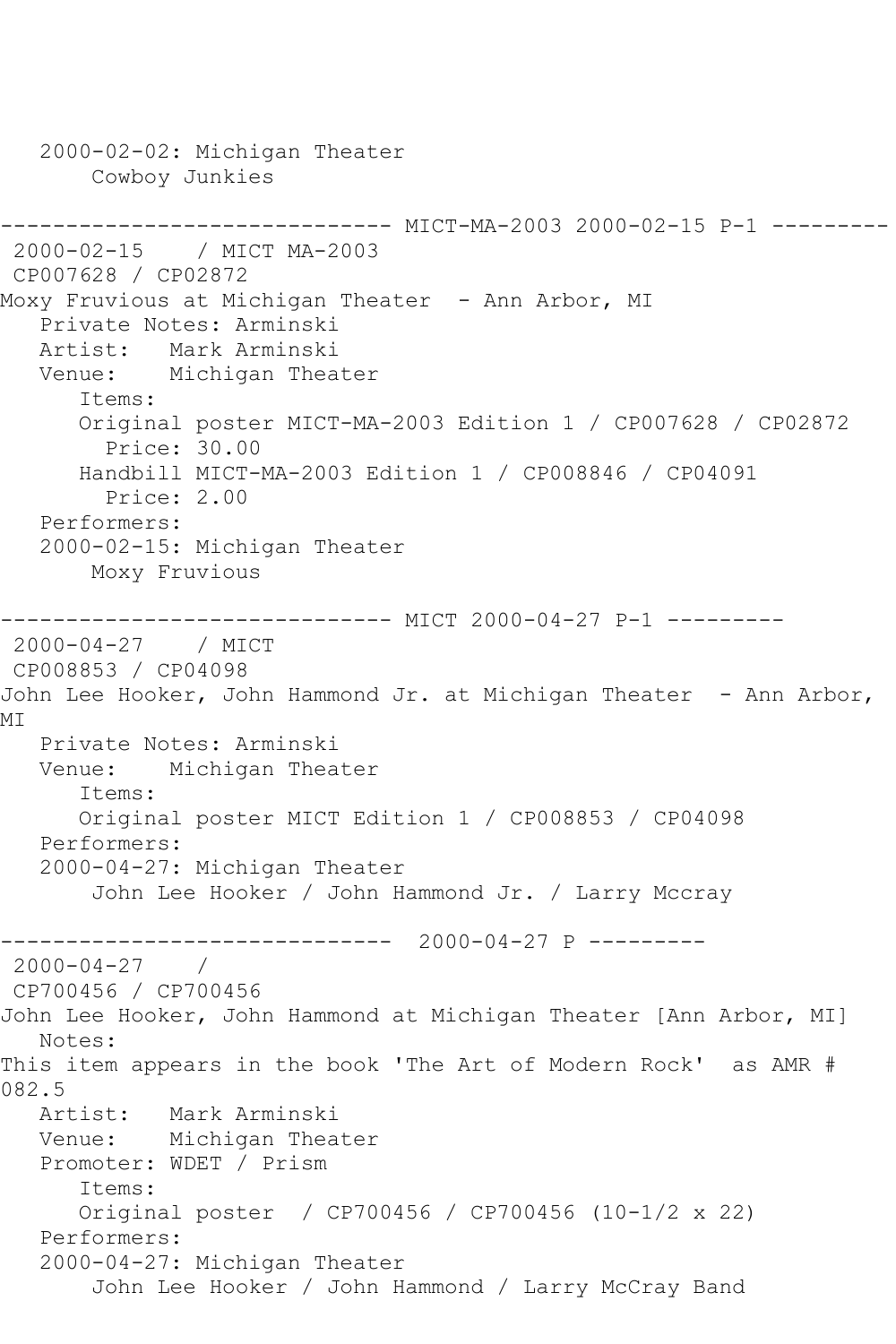2000-02-02: Michigan Theater Cowboy Junkies ------------------------------ MICT-MA-2003 2000-02-15 P-1 --------- 2000-02-15 / MICT MA-2003 CP007628 / CP02872 Moxy Fruvious at Michigan Theater - Ann Arbor, MI Private Notes: Arminski Artist: Mark Arminski Venue: Michigan Theater Items: Original poster MICT-MA-2003 Edition 1 / CP007628 / CP02872 Price: 30.00 Handbill MICT-MA-2003 Edition 1 / CP008846 / CP04091 Price: 2.00 Performers: 2000-02-15: Michigan Theater Moxy Fruvious ------------------------------ MICT 2000-04-27 P-1 --------- 2000-04-27 / MICT CP008853 / CP04098 John Lee Hooker, John Hammond Jr. at Michigan Theater - Ann Arbor, MI Private Notes: Arminski Venue: Michigan Theater Items: Original poster MICT Edition 1 / CP008853 / CP04098 Performers: 2000-04-27: Michigan Theater John Lee Hooker / John Hammond Jr. / Larry Mccray ------------------------------ 2000-04-27 P ---------  $2000 - 04 - 27$ CP700456 / CP700456 John Lee Hooker, John Hammond at Michigan Theater [Ann Arbor, MI] Notes: This item appears in the book 'The Art of Modern Rock' as AMR # 082.5<br>Artist: Mark Arminski Venue: Michigan Theater Promoter: WDET / Prism Items: Original poster / CP700456 / CP700456 (10-1/2 x 22) Performers: 2000-04-27: Michigan Theater John Lee Hooker / John Hammond / Larry McCray Band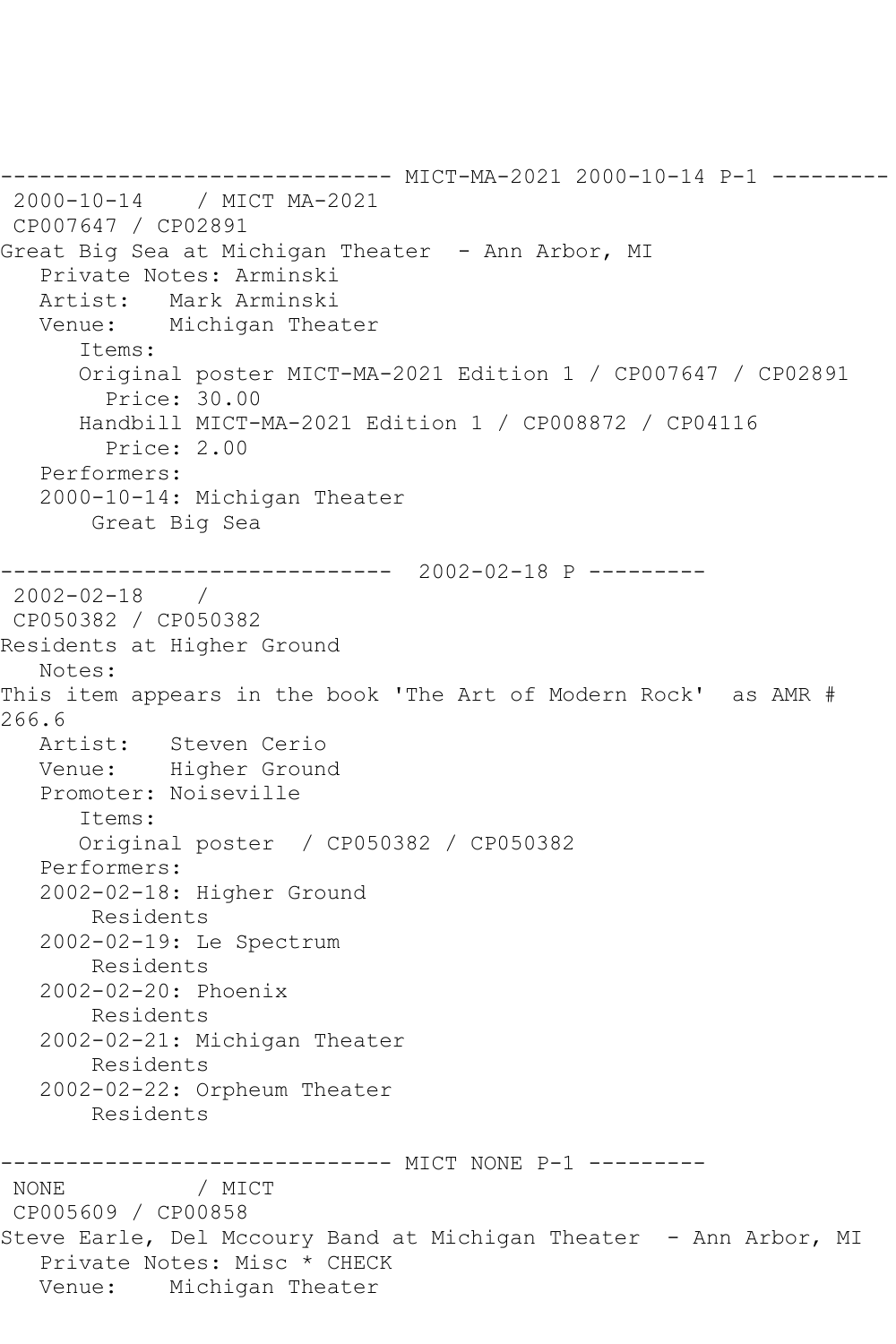------------------------------ MICT-MA-2021 2000-10-14 P-1 --------- 2000-10-14 / MICT MA-2021 CP007647 / CP02891 Great Big Sea at Michigan Theater - Ann Arbor, MI Private Notes: Arminski Artist: Mark Arminski Venue: Michigan Theater Items: Original poster MICT-MA-2021 Edition 1 / CP007647 / CP02891 Price: 30.00 Handbill MICT-MA-2021 Edition 1 / CP008872 / CP04116 Price: 2.00 Performers: 2000-10-14: Michigan Theater Great Big Sea ------------------------------ 2002-02-18 P --------- 2002-02-18 / CP050382 / CP050382 Residents at Higher Ground Notes: This item appears in the book 'The Art of Modern Rock' as AMR # 266.6 Artist: Steven Cerio Venue: Higher Ground Promoter: Noiseville Items: Original poster / CP050382 / CP050382 Performers: 2002-02-18: Higher Ground Residents 2002-02-19: Le Spectrum Residents 2002-02-20: Phoenix Residents 2002-02-21: Michigan Theater Residents 2002-02-22: Orpheum Theater Residents ------------------------------ MICT NONE P-1 --------- NONE / MICT CP005609 / CP00858 Steve Earle, Del Mccoury Band at Michigan Theater - Ann Arbor, MI Private Notes: Misc \* CHECK Venue: Michigan Theater